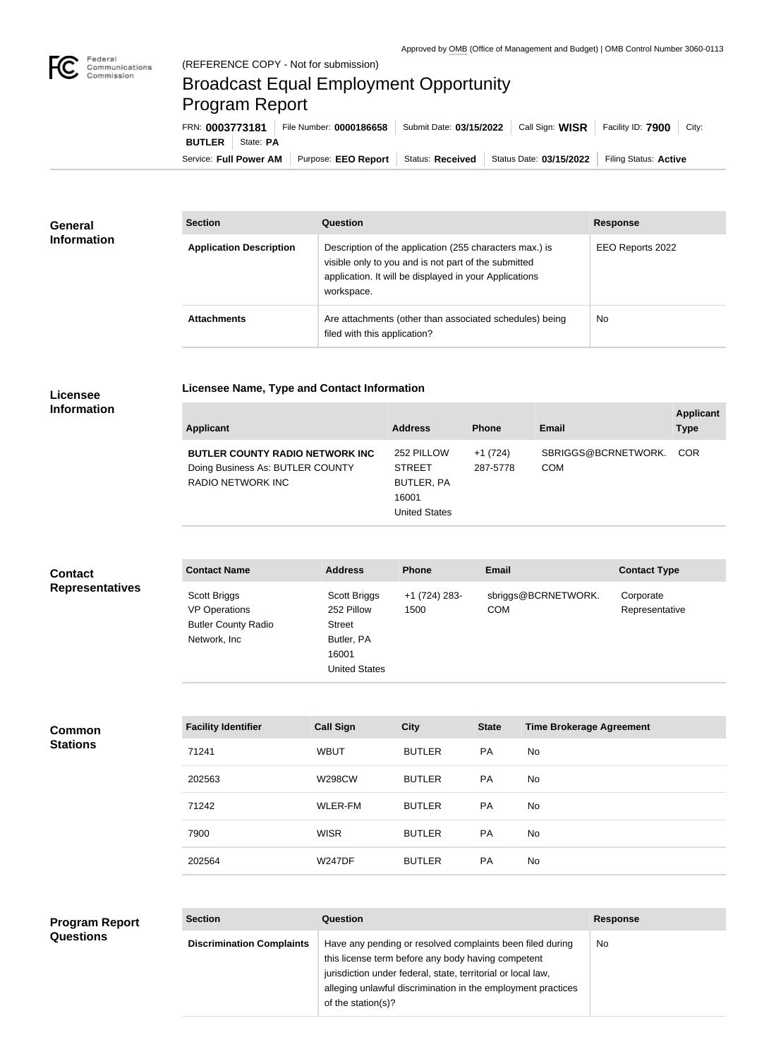

## Broadcast Equal Employment Opportunity Program Report

**Licensee Name, Type and Contact Information**

Service: Full Power AM | Purpose: EEO Report | Status: Received | Status Date: 03/15/2022 | Filing Status: Active **BUTLER** State: PA FRN: **0003773181** File Number: **0000186658** Submit Date: **03/15/2022** Call Sign: **WISR** Facility ID: **7900** City:

| <b>General</b><br><b>Information</b> | <b>Section</b>                 | Question                                                                                                                                                                                | <b>Response</b>  |
|--------------------------------------|--------------------------------|-----------------------------------------------------------------------------------------------------------------------------------------------------------------------------------------|------------------|
|                                      | <b>Application Description</b> | Description of the application (255 characters max.) is<br>visible only to you and is not part of the submitted<br>application. It will be displayed in your Applications<br>workspace. | EEO Reports 2022 |
|                                      | <b>Attachments</b>             | Are attachments (other than associated schedules) being<br>filed with this application?                                                                                                 | No.              |

## **Licensee Information**

| Applicant                                                                                        | <b>Address</b>                                                             | <b>Phone</b>          | Email                             | <b>Applicant</b><br><b>Type</b> |
|--------------------------------------------------------------------------------------------------|----------------------------------------------------------------------------|-----------------------|-----------------------------------|---------------------------------|
| <b>BUTLER COUNTY RADIO NETWORK INC.</b><br>Doing Business As: BUTLER COUNTY<br>RADIO NETWORK INC | 252 PILLOW<br><b>STREET</b><br>BUTLER, PA<br>16001<br><b>United States</b> | $+1(724)$<br>287-5778 | SBRIGGS@BCRNETWORK.<br><b>COM</b> | <b>COR</b>                      |

| <b>Contact</b>         | <b>Contact Name</b>                                                                | <b>Address</b>                                                                             | <b>Phone</b>           | <b>Email</b>                      | <b>Contact Type</b>         |
|------------------------|------------------------------------------------------------------------------------|--------------------------------------------------------------------------------------------|------------------------|-----------------------------------|-----------------------------|
| <b>Representatives</b> | Scott Briggs<br><b>VP Operations</b><br><b>Butler County Radio</b><br>Network, Inc | Scott Briggs<br>252 Pillow<br><b>Street</b><br>Butler, PA<br>16001<br><b>United States</b> | $+1(724)$ 283-<br>1500 | sbriggs@BCRNETWORK.<br><b>COM</b> | Corporate<br>Representative |

**Common Stations**

| <b>Facility Identifier</b> | <b>Call Sign</b> | <b>City</b>   | <b>State</b> | <b>Time Brokerage Agreement</b> |
|----------------------------|------------------|---------------|--------------|---------------------------------|
| 71241                      | <b>WBUT</b>      | <b>BUTLER</b> | <b>PA</b>    | No.                             |
| 202563                     | <b>W298CW</b>    | <b>BUTLER</b> | <b>PA</b>    | <b>No</b>                       |
| 71242                      | WLER-FM          | <b>BUTLER</b> | <b>PA</b>    | No                              |
| 7900                       | <b>WISR</b>      | <b>BUTLER</b> | <b>PA</b>    | No.                             |
| 202564                     | <b>W247DF</b>    | <b>BUTLER</b> | PA           | <b>No</b>                       |

## **Program Report**

| ,,,,,,,, |  |  |
|----------|--|--|
|          |  |  |
|          |  |  |
|          |  |  |
|          |  |  |

**Section Question Response Discrimination Complaints** | Have any pending or resolved complaints been filed during this license term before any body having competent jurisdiction under federal, state, territorial or local law, alleging unlawful discrimination in the employment practices of the station(s)? No

**Questions**